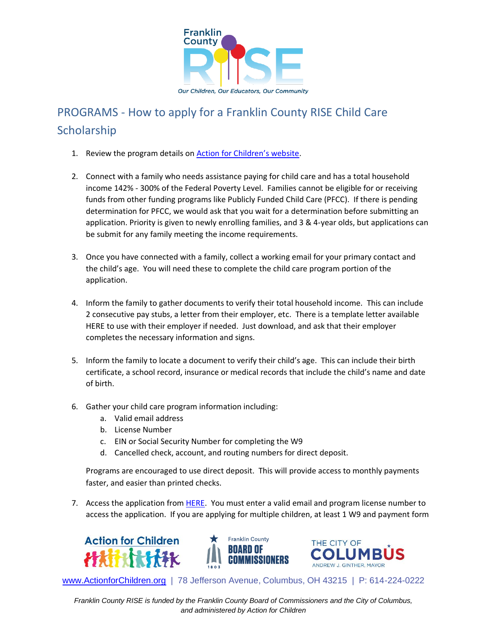

## PROGRAMS - How to apply for a Franklin County RISE Child Care **Scholarship**

- 1. Review the program details on [Action for Children's website](https://www.actionforchildren.org/signing-bonus-program/).
- 2. Connect with a family who needs assistance paying for child care and has a total household income 142% - 300% of the Federal Poverty Level. Families cannot be eligible for or receiving funds from other funding programs like Publicly Funded Child Care (PFCC). If there is pending determination for PFCC, we would ask that you wait for a determination before submitting an application. Priority is given to newly enrolling families, and 3 & 4-year olds, but applications can be submit for any family meeting the income requirements.
- 3. Once you have connected with a family, collect a working email for your primary contact and the child's age. You will need these to complete the child care program portion of the application.
- 4. Inform the family to gather documents to verify their total household income. This can include 2 consecutive pay stubs, a letter from their employer, etc. There is a template letter available HERE to use with their employer if needed. Just download, and ask that their employer completes the necessary information and signs.
- 5. Inform the family to locate a document to verify their child's age. This can include their birth certificate, a school record, insurance or medical records that include the child's name and date of birth.
- 6. Gather your child care program information including:
	- a. Valid email address
	- b. License Number
	- c. EIN or Social Security Number for completing the W9
	- d. Cancelled check, account, and routing numbers for direct deposit.

Programs are encouraged to use direct deposit. This will provide access to monthly payments faster, and easier than printed checks.

7. Access the application from [HERE.](https://app.frevvo.com/frevvo/web/tn/actionforchildren/u/966e5f93-ff57-45c3-9779-24de7a12527d/app/_jqMy0V-CEey_5cAXGYGaHw/flowtype/_eYXkYYnVEeyPsc3_S4nqnQ/popupform) You must enter a valid email and program license number to access the application. If you are applying for multiple children, at least 1 W9 and payment form







[www.ActionforChildren.org](http://www.actionforchildren.org/) | 78 Jefferson Avenue, Columbus, OH 43215 | P: 614-224-0222

*Franklin County RISE is funded by the Franklin County Board of Commissioners and the City of Columbus, and administered by Action for Children*